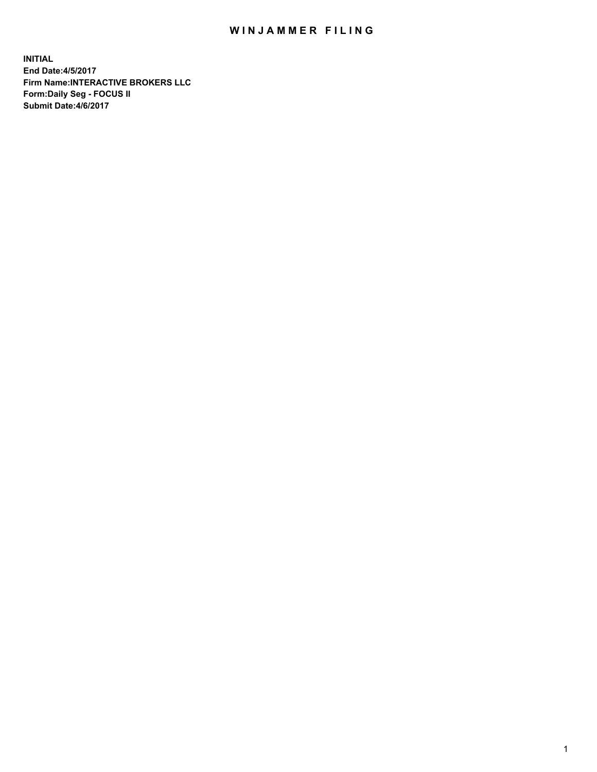## WIN JAMMER FILING

**INITIAL End Date:4/5/2017 Firm Name:INTERACTIVE BROKERS LLC Form:Daily Seg - FOCUS II Submit Date:4/6/2017**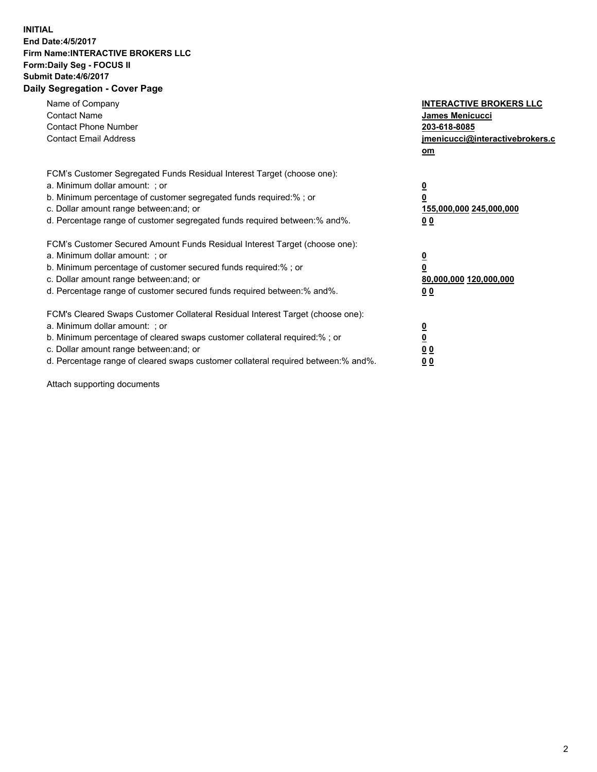## **INITIAL End Date:4/5/2017 Firm Name:INTERACTIVE BROKERS LLC Form:Daily Seg - FOCUS II Submit Date:4/6/2017 Daily Segregation - Cover Page**

| Name of Company<br><b>Contact Name</b><br><b>Contact Phone Number</b><br><b>Contact Email Address</b>                                                                                                                                                                                                                          | <b>INTERACTIVE BROKERS LLC</b><br><b>James Menicucci</b><br>203-618-8085<br>jmenicucci@interactivebrokers.c<br>om |
|--------------------------------------------------------------------------------------------------------------------------------------------------------------------------------------------------------------------------------------------------------------------------------------------------------------------------------|-------------------------------------------------------------------------------------------------------------------|
| FCM's Customer Segregated Funds Residual Interest Target (choose one):<br>a. Minimum dollar amount: ; or<br>b. Minimum percentage of customer segregated funds required:% ; or<br>c. Dollar amount range between: and; or<br>d. Percentage range of customer segregated funds required between: % and %.                       | $\underline{\mathbf{0}}$<br>0<br>155,000,000 245,000,000<br>0 <sub>0</sub>                                        |
| FCM's Customer Secured Amount Funds Residual Interest Target (choose one):<br>a. Minimum dollar amount: ; or<br>b. Minimum percentage of customer secured funds required:%; or<br>c. Dollar amount range between: and; or<br>d. Percentage range of customer secured funds required between: % and %.                          | $\underline{\mathbf{0}}$<br>0<br>80,000,000 120,000,000<br>00                                                     |
| FCM's Cleared Swaps Customer Collateral Residual Interest Target (choose one):<br>a. Minimum dollar amount: ; or<br>b. Minimum percentage of cleared swaps customer collateral required:% ; or<br>c. Dollar amount range between: and; or<br>d. Percentage range of cleared swaps customer collateral required between:% and%. | $\underline{\mathbf{0}}$<br>$\underline{\mathbf{0}}$<br>0 <sub>0</sub><br>00                                      |

Attach supporting documents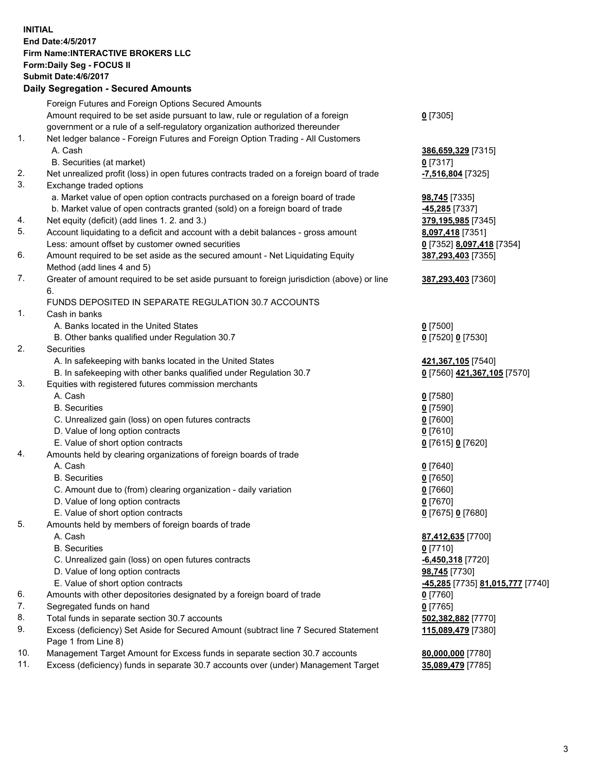## **INITIAL End Date:4/5/2017 Firm Name:INTERACTIVE BROKERS LLC Form:Daily Seg - FOCUS II Submit Date:4/6/2017 Daily Segregation - Secured Amounts**

|     | Foreign Futures and Foreign Options Secured Amounts                                                        |                                  |
|-----|------------------------------------------------------------------------------------------------------------|----------------------------------|
|     | Amount required to be set aside pursuant to law, rule or regulation of a foreign                           | $0$ [7305]                       |
|     | government or a rule of a self-regulatory organization authorized thereunder                               |                                  |
| 1.  | Net ledger balance - Foreign Futures and Foreign Option Trading - All Customers                            |                                  |
|     | A. Cash                                                                                                    | 386,659,329 [7315]               |
|     | B. Securities (at market)                                                                                  | $0$ [7317]                       |
| 2.  | Net unrealized profit (loss) in open futures contracts traded on a foreign board of trade                  | -7,516,804 [7325]                |
| 3.  | Exchange traded options                                                                                    |                                  |
|     | a. Market value of open option contracts purchased on a foreign board of trade                             | 98,745 [7335]                    |
|     | b. Market value of open contracts granted (sold) on a foreign board of trade                               | $-45,285$ [7337]                 |
| 4.  | Net equity (deficit) (add lines 1. 2. and 3.)                                                              | 379,195,985 [7345]               |
| 5.  | Account liquidating to a deficit and account with a debit balances - gross amount                          | 8,097,418 [7351]                 |
|     | Less: amount offset by customer owned securities                                                           | 0 [7352] 8,097,418 [7354]        |
| 6.  | Amount required to be set aside as the secured amount - Net Liquidating Equity                             | 387,293,403 [7355]               |
|     | Method (add lines 4 and 5)                                                                                 |                                  |
| 7.  | Greater of amount required to be set aside pursuant to foreign jurisdiction (above) or line                | 387,293,403 [7360]               |
|     | 6.                                                                                                         |                                  |
|     | FUNDS DEPOSITED IN SEPARATE REGULATION 30.7 ACCOUNTS                                                       |                                  |
| 1.  | Cash in banks                                                                                              |                                  |
|     | A. Banks located in the United States                                                                      | $0$ [7500]                       |
|     | B. Other banks qualified under Regulation 30.7                                                             | 0 [7520] 0 [7530]                |
| 2.  | Securities                                                                                                 |                                  |
|     | A. In safekeeping with banks located in the United States                                                  | 421,367,105 [7540]               |
|     | B. In safekeeping with other banks qualified under Regulation 30.7                                         | 0 [7560] 421,367,105 [7570]      |
| 3.  | Equities with registered futures commission merchants                                                      |                                  |
|     | A. Cash                                                                                                    | $0$ [7580]                       |
|     | <b>B.</b> Securities                                                                                       | $0$ [7590]                       |
|     | C. Unrealized gain (loss) on open futures contracts                                                        | $0$ [7600]                       |
|     | D. Value of long option contracts                                                                          | $0$ [7610]                       |
|     | E. Value of short option contracts                                                                         | 0 [7615] 0 [7620]                |
| 4.  | Amounts held by clearing organizations of foreign boards of trade                                          |                                  |
|     | A. Cash                                                                                                    | $0$ [7640]                       |
|     | <b>B.</b> Securities                                                                                       | $0$ [7650]                       |
|     | C. Amount due to (from) clearing organization - daily variation                                            | $0$ [7660]                       |
|     | D. Value of long option contracts                                                                          | $0$ [7670]                       |
|     | E. Value of short option contracts                                                                         | 0 [7675] 0 [7680]                |
| 5.  | Amounts held by members of foreign boards of trade                                                         |                                  |
|     | A. Cash                                                                                                    | 87,412,635 [7700]                |
|     | <b>B.</b> Securities                                                                                       | $0$ [7710]                       |
|     | C. Unrealized gain (loss) on open futures contracts                                                        | $-6,450,318$ [7720]              |
|     | D. Value of long option contracts                                                                          | 98,745 [7730]                    |
|     | E. Value of short option contracts                                                                         | -45,285 [7735] 81,015,777 [7740] |
| 6.  | Amounts with other depositories designated by a foreign board of trade                                     | 0 [7760]                         |
| 7.  | Segregated funds on hand                                                                                   | $0$ [7765]                       |
| 8.  | Total funds in separate section 30.7 accounts                                                              | 502,382,882 [7770]               |
| 9.  | Excess (deficiency) Set Aside for Secured Amount (subtract line 7 Secured Statement<br>Page 1 from Line 8) | 115,089,479 [7380]               |
| 10. | Management Target Amount for Excess funds in separate section 30.7 accounts                                | 80,000,000 [7780]                |
| 11. | Excess (deficiency) funds in separate 30.7 accounts over (under) Management Target                         | 35,089,479 [7785]                |
|     |                                                                                                            |                                  |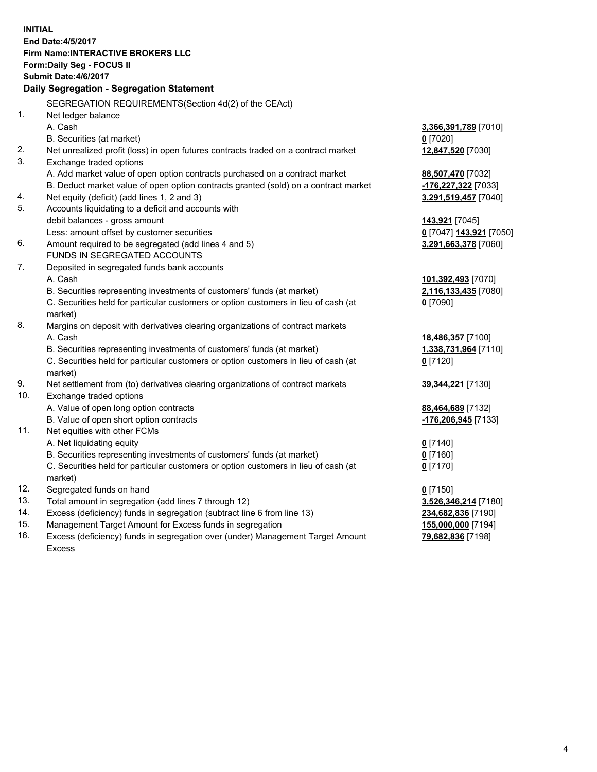**INITIAL End Date:4/5/2017 Firm Name:INTERACTIVE BROKERS LLC Form:Daily Seg - FOCUS II Submit Date:4/6/2017 Daily Segregation - Segregation Statement** SEGREGATION REQUIREMENTS(Section 4d(2) of the CEAct) 1. Net ledger balance A. Cash **3,366,391,789** [7010] B. Securities (at market) **0** [7020] 2. Net unrealized profit (loss) in open futures contracts traded on a contract market **12,847,520** [7030] 3. Exchange traded options A. Add market value of open option contracts purchased on a contract market **88,507,470** [7032] B. Deduct market value of open option contracts granted (sold) on a contract market **-176,227,322** [7033] 4. Net equity (deficit) (add lines 1, 2 and 3) **3,291,519,457** [7040] 5. Accounts liquidating to a deficit and accounts with debit balances - gross amount **143,921** [7045] Less: amount offset by customer securities **0** [7047] **143,921** [7050] 6. Amount required to be segregated (add lines 4 and 5) **3,291,663,378** [7060] FUNDS IN SEGREGATED ACCOUNTS 7. Deposited in segregated funds bank accounts A. Cash **101,392,493** [7070] B. Securities representing investments of customers' funds (at market) **2,116,133,435** [7080] C. Securities held for particular customers or option customers in lieu of cash (at market) **0** [7090] 8. Margins on deposit with derivatives clearing organizations of contract markets A. Cash **18,486,357** [7100] B. Securities representing investments of customers' funds (at market) **1,338,731,964** [7110] C. Securities held for particular customers or option customers in lieu of cash (at market) **0** [7120] 9. Net settlement from (to) derivatives clearing organizations of contract markets **39,344,221** [7130] 10. Exchange traded options A. Value of open long option contracts **88,464,689** [7132] B. Value of open short option contracts **-176,206,945** [7133] 11. Net equities with other FCMs A. Net liquidating equity **0** [7140] B. Securities representing investments of customers' funds (at market) **0** [7160] C. Securities held for particular customers or option customers in lieu of cash (at market) **0** [7170] 12. Segregated funds on hand **0** [7150] 13. Total amount in segregation (add lines 7 through 12) **3,526,346,214** [7180] 14. Excess (deficiency) funds in segregation (subtract line 6 from line 13) **234,682,836** [7190] 15. Management Target Amount for Excess funds in segregation **155,000,000** [7194] 16. Excess (deficiency) funds in segregation over (under) Management Target Amount **79,682,836** [7198]

Excess